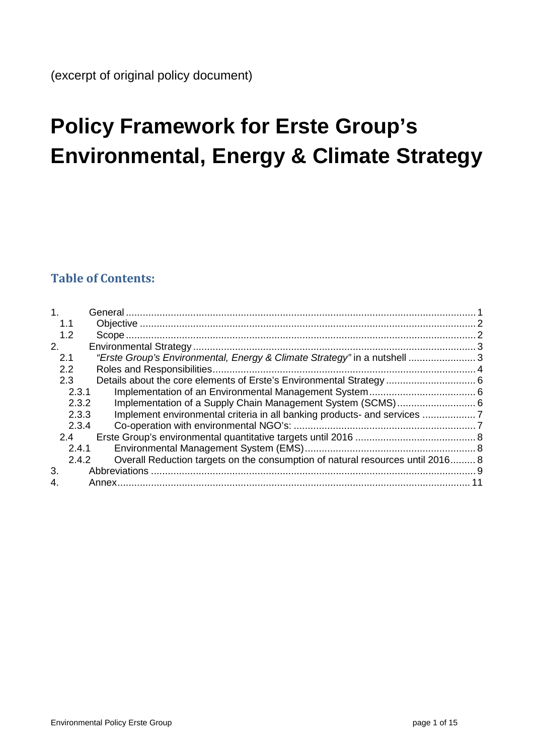# **Policy Framework for Erste Group's Environmental, Energy & Climate Strategy**

# **Table of Contents:**

| 1.1<br>1.2<br>2.<br>"Erste Group's Environmental, Energy & Climate Strategy" in a nutshell  3<br>2.1<br>$2.2\phantom{0}$<br>2.3<br>2.3.1 |  |
|------------------------------------------------------------------------------------------------------------------------------------------|--|
|                                                                                                                                          |  |
|                                                                                                                                          |  |
|                                                                                                                                          |  |
|                                                                                                                                          |  |
|                                                                                                                                          |  |
|                                                                                                                                          |  |
|                                                                                                                                          |  |
| Implementation of a Supply Chain Management System (SCMS) 6<br>2.3.2                                                                     |  |
| Implement environmental criteria in all banking products- and services<br>2.3.3                                                          |  |
| 2.3.4                                                                                                                                    |  |
| 2.4                                                                                                                                      |  |
| 2.4.1                                                                                                                                    |  |
| Overall Reduction targets on the consumption of natural resources until 2016 8<br>2.4.2                                                  |  |
| 3.                                                                                                                                       |  |
| 4.<br>Annex.                                                                                                                             |  |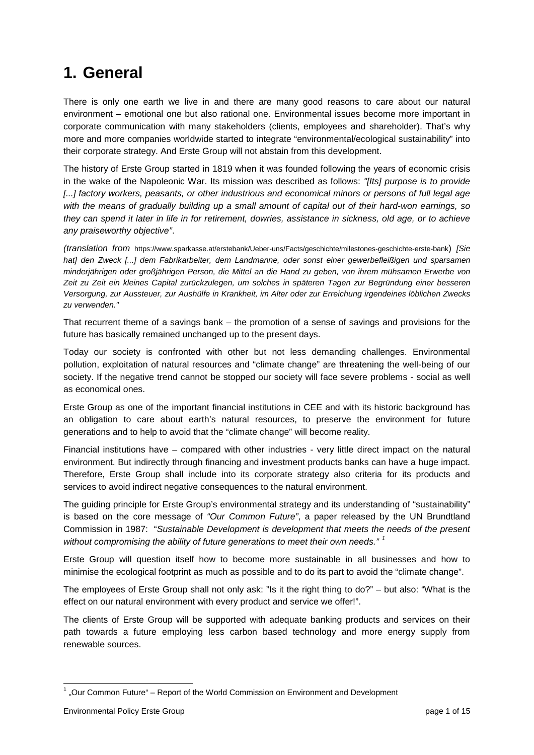# <span id="page-1-0"></span>**1. General**

There is only one earth we live in and there are many good reasons to care about our natural environment – emotional one but also rational one. Environmental issues become more important in corporate communication with many stakeholders (clients, employees and shareholder). That's why more and more companies worldwide started to integrate "environmental/ecological sustainability" into their corporate strategy. And Erste Group will not abstain from this development.

The history of Erste Group started in 1819 when it was founded following the years of economic crisis in the wake of the Napoleonic War. Its mission was described as follows: *"[Its] purpose is to provide*  [...] factory workers, peasants, or other industrious and economical minors or persons of full legal age *with the means of gradually building up a small amount of capital out of their hard-won earnings, so they can spend it later in life in for retirement, dowries, assistance in sickness, old age, or to achieve any praiseworthy objective"*.

*(translation from* https://www.sparkasse.at/erstebank/Ueber-uns/Facts/geschichte/milestones-geschichte-erste-bank) *[Sie*  hat] den Zweck [...] dem Fabrikarbeiter, dem Landmanne, oder sonst einer gewerbefleißigen und sparsamen *minderjährigen oder großjährigen Person, die Mittel an die Hand zu geben, von ihrem mühsamen Erwerbe von Zeit zu Zeit ein kleines Capital zurückzulegen, um solches in späteren Tagen zur Begründung einer besseren Versorgung, zur Aussteuer, zur Aushülfe in Krankheit, im Alter oder zur Erreichung irgendeines löblichen Zwecks zu verwenden."* 

That recurrent theme of a savings bank – the promotion of a sense of savings and provisions for the future has basically remained unchanged up to the present days.

Today our society is confronted with other but not less demanding challenges. Environmental pollution, exploitation of natural resources and "climate change" are threatening the well-being of our society. If the negative trend cannot be stopped our society will face severe problems - social as well as economical ones.

Erste Group as one of the important financial institutions in CEE and with its historic background has an obligation to care about earth's natural resources, to preserve the environment for future generations and to help to avoid that the "climate change" will become reality.

Financial institutions have – compared with other industries - very little direct impact on the natural environment. But indirectly through financing and investment products banks can have a huge impact. Therefore, Erste Group shall include into its corporate strategy also criteria for its products and services to avoid indirect negative consequences to the natural environment.

The guiding principle for Erste Group's environmental strategy and its understanding of "sustainability" is based on the core message of *"Our Common Future"*, a paper released by the UN Brundtland Commission in 1987: "*Sustainable Development is development that meets the needs of the present without compromising the ability of future generations to meet their own needs." [1](#page-1-1)*

Erste Group will question itself how to become more sustainable in all businesses and how to minimise the ecological footprint as much as possible and to do its part to avoid the "climate change".

The employees of Erste Group shall not only ask: "Is it the right thing to do?" – but also: "What is the effect on our natural environment with every product and service we offer!".

The clients of Erste Group will be supported with adequate banking products and services on their path towards a future employing less carbon based technology and more energy supply from renewable sources.

<span id="page-1-1"></span> $1$  "Our Common Future" – Report of the World Commission on Environment and Development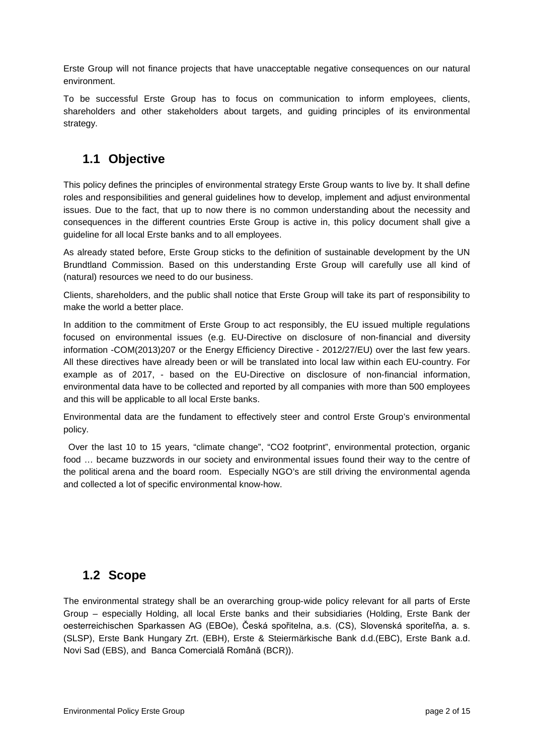Erste Group will not finance projects that have unacceptable negative consequences on our natural environment.

To be successful Erste Group has to focus on communication to inform employees, clients, shareholders and other stakeholders about targets, and guiding principles of its environmental strategy.

### <span id="page-2-0"></span>**1.1 Objective**

This policy defines the principles of environmental strategy Erste Group wants to live by. It shall define roles and responsibilities and general guidelines how to develop, implement and adjust environmental issues. Due to the fact, that up to now there is no common understanding about the necessity and consequences in the different countries Erste Group is active in, this policy document shall give a guideline for all local Erste banks and to all employees.

As already stated before, Erste Group sticks to the definition of sustainable development by the UN Brundtland Commission. Based on this understanding Erste Group will carefully use all kind of (natural) resources we need to do our business.

Clients, shareholders, and the public shall notice that Erste Group will take its part of responsibility to make the world a better place.

In addition to the commitment of Erste Group to act responsibly, the EU issued multiple regulations focused on environmental issues (e.g. EU-Directive on disclosure of non-financial and diversity information -COM(2013)207 or the Energy Efficiency Directive - 2012/27/EU) over the last few years. All these directives have already been or will be translated into local law within each EU-country. For example as of 2017, - based on the EU-Directive on disclosure of non-financial information, environmental data have to be collected and reported by all companies with more than 500 employees and this will be applicable to all local Erste banks.

Environmental data are the fundament to effectively steer and control Erste Group's environmental policy.

 Over the last 10 to 15 years, "climate change", "CO2 footprint", environmental protection, organic food … became buzzwords in our society and environmental issues found their way to the centre of the political arena and the board room. Especially NGO's are still driving the environmental agenda and collected a lot of specific environmental know-how.

### <span id="page-2-1"></span>**1.2 Scope**

The environmental strategy shall be an overarching group-wide policy relevant for all parts of Erste Group – especially Holding, all local Erste banks and their subsidiaries (Holding, Erste Bank der oesterreichischen Sparkassen AG (EBOe), Česká spořitelna, a.s. (CS), Slovenská sporiteľňa, a. s. (SLSP), Erste Bank Hungary Zrt. (EBH), Erste & Steiermärkische Bank d.d.(EBC), Erste Bank a.d. Novi Sad (EBS), and Banca Comercială Română (BCR)).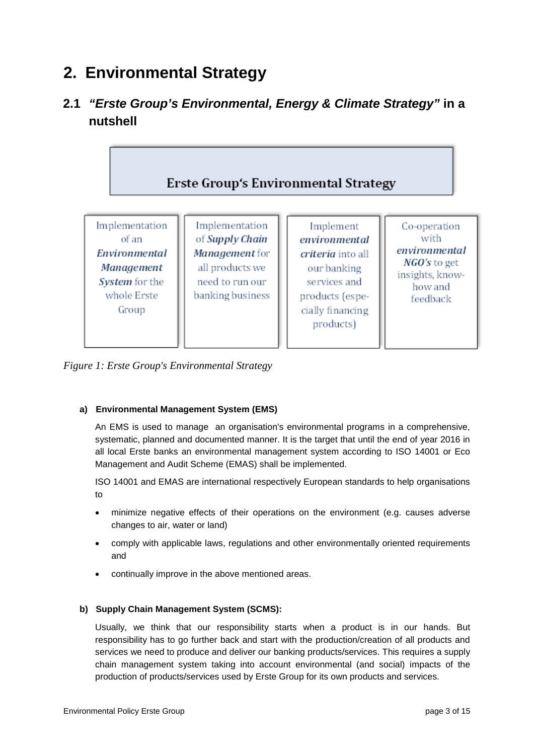# <span id="page-3-0"></span>**2. Environmental Strategy**

# <span id="page-3-1"></span>**2.1** *"Erste Group's Environmental, Energy & Climate Strategy"* **in a nutshell**



*Figure 1: Erste Group's Environmental Strategy*

#### **a) Environmental Management System (EMS)**

An EMS is used to manage an organisation's environmental programs in a comprehensive, systematic, planned and documented manner. It is the target that until the end of year 2016 in all local Erste banks an environmental management system according to ISO 14001 or Eco Management and Audit Scheme (EMAS) shall be implemented.

ISO 14001 and EMAS are international respectively European standards to help organisations to

- minimize negative effects of their operations on the environment (e.g. causes adverse changes to air, water or land)
- comply with applicable laws, regulations and other environmentally oriented requirements and
- continually improve in the above mentioned areas.

#### **b) Supply Chain Management System (SCMS):**

Usually, we think that our responsibility starts when a product is in our hands. But responsibility has to go further back and start with the production/creation of all products and services we need to produce and deliver our banking products/services. This requires a supply chain management system taking into account environmental (and social) impacts of the production of products/services used by Erste Group for its own products and services.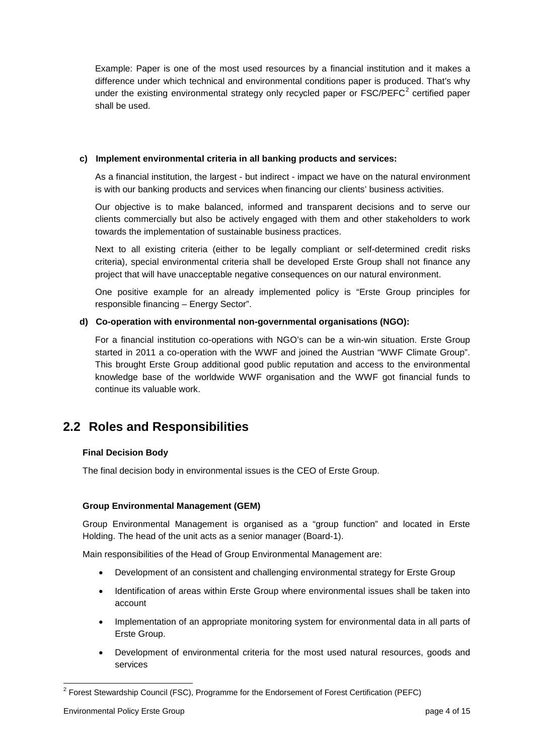Example: Paper is one of the most used resources by a financial institution and it makes a difference under which technical and environmental conditions paper is produced. That's why under the existing environmental strategy only recycled paper or FSC/PEFC<sup>[2](#page-4-1)</sup> certified paper shall be used.

#### **c) Implement environmental criteria in all banking products and services:**

As a financial institution, the largest - but indirect - impact we have on the natural environment is with our banking products and services when financing our clients' business activities.

Our objective is to make balanced, informed and transparent decisions and to serve our clients commercially but also be actively engaged with them and other stakeholders to work towards the implementation of sustainable business practices.

Next to all existing criteria (either to be legally compliant or self-determined credit risks criteria), special environmental criteria shall be developed Erste Group shall not finance any project that will have unacceptable negative consequences on our natural environment.

One positive example for an already implemented policy is "Erste Group principles for responsible financing – Energy Sector".

#### **d) Co-operation with environmental non-governmental organisations (NGO):**

For a financial institution co-operations with NGO's can be a win-win situation. Erste Group started in 2011 a co-operation with the WWF and joined the Austrian "WWF Climate Group". This brought Erste Group additional good public reputation and access to the environmental knowledge base of the worldwide WWF organisation and the WWF got financial funds to continue its valuable work.

### <span id="page-4-0"></span>**2.2 Roles and Responsibilities**

#### **Final Decision Body**

The final decision body in environmental issues is the CEO of Erste Group.

#### **Group Environmental Management (GEM)**

Group Environmental Management is organised as a "group function" and located in Erste Holding. The head of the unit acts as a senior manager (Board-1).

Main responsibilities of the Head of Group Environmental Management are:

- Development of an consistent and challenging environmental strategy for Erste Group
- Identification of areas within Erste Group where environmental issues shall be taken into account
- Implementation of an appropriate monitoring system for environmental data in all parts of Erste Group.
- Development of environmental criteria for the most used natural resources, goods and services

<span id="page-4-1"></span><sup>&</sup>lt;sup>2</sup> Forest Stewardship Council (FSC), Programme for the Endorsement of Forest Certification (PEFC)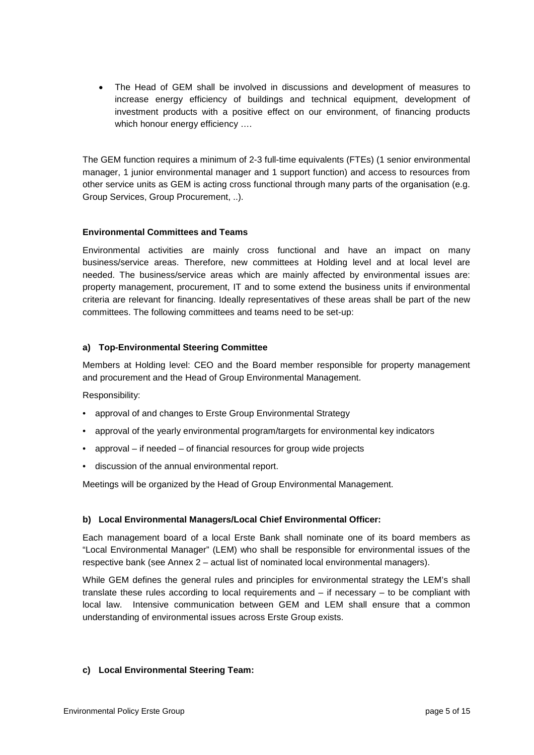• The Head of GEM shall be involved in discussions and development of measures to increase energy efficiency of buildings and technical equipment, development of investment products with a positive effect on our environment, of financing products which honour energy efficiency ....

The GEM function requires a minimum of 2-3 full-time equivalents (FTEs) (1 senior environmental manager, 1 junior environmental manager and 1 support function) and access to resources from other service units as GEM is acting cross functional through many parts of the organisation (e.g. Group Services, Group Procurement, ..).

#### **Environmental Committees and Teams**

Environmental activities are mainly cross functional and have an impact on many business/service areas. Therefore, new committees at Holding level and at local level are needed. The business/service areas which are mainly affected by environmental issues are: property management, procurement, IT and to some extend the business units if environmental criteria are relevant for financing. Ideally representatives of these areas shall be part of the new committees. The following committees and teams need to be set-up:

#### **a) Top-Environmental Steering Committee**

Members at Holding level: CEO and the Board member responsible for property management and procurement and the Head of Group Environmental Management.

Responsibility:

- approval of and changes to Erste Group Environmental Strategy
- approval of the yearly environmental program/targets for environmental key indicators
- approval if needed of financial resources for group wide projects
- discussion of the annual environmental report.

Meetings will be organized by the Head of Group Environmental Management.

#### **b) Local Environmental Managers/Local Chief Environmental Officer:**

Each management board of a local Erste Bank shall nominate one of its board members as "Local Environmental Manager" (LEM) who shall be responsible for environmental issues of the respective bank (see Annex 2 – actual list of nominated local environmental managers).

While GEM defines the general rules and principles for environmental strategy the LEM's shall translate these rules according to local requirements and – if necessary – to be compliant with local law. Intensive communication between GEM and LEM shall ensure that a common understanding of environmental issues across Erste Group exists.

#### **c) Local Environmental Steering Team:**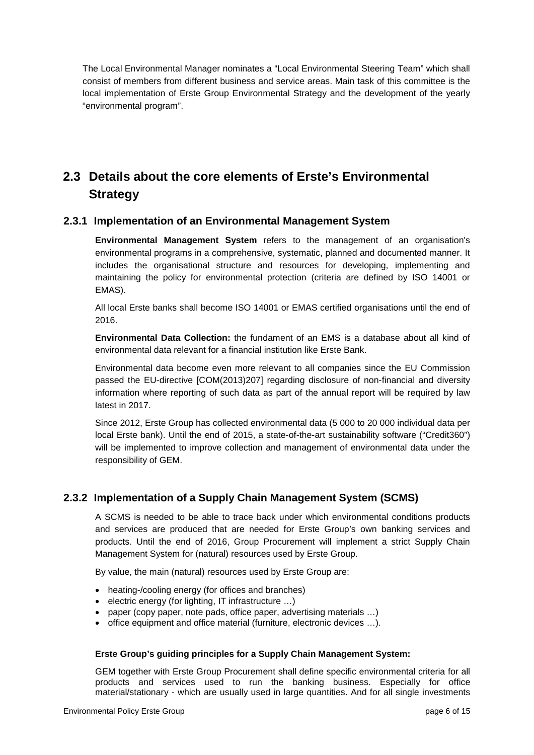The Local Environmental Manager nominates a "Local Environmental Steering Team" which shall consist of members from different business and service areas. Main task of this committee is the local implementation of Erste Group Environmental Strategy and the development of the yearly "environmental program".

# <span id="page-6-0"></span>**2.3 Details about the core elements of Erste's Environmental Strategy**

#### <span id="page-6-1"></span>**2.3.1 Implementation of an Environmental Management System**

**Environmental Management System** refers to the management of an organisation's environmental programs in a comprehensive, systematic, planned and documented manner. It includes the organisational structure and resources for developing, implementing and maintaining the policy for environmental protection (criteria are defined by ISO 14001 or EMAS).

All local Erste banks shall become ISO 14001 or EMAS certified organisations until the end of 2016.

**Environmental Data Collection:** the fundament of an EMS is a database about all kind of environmental data relevant for a financial institution like Erste Bank.

Environmental data become even more relevant to all companies since the EU Commission passed the EU-directive [COM(2013)207] regarding disclosure of non-financial and diversity information where reporting of such data as part of the annual report will be required by law latest in 2017.

Since 2012, Erste Group has collected environmental data (5 000 to 20 000 individual data per local Erste bank). Until the end of 2015, a state-of-the-art sustainability software ("Credit360") will be implemented to improve collection and management of environmental data under the responsibility of GEM.

#### <span id="page-6-2"></span>**2.3.2 Implementation of a Supply Chain Management System (SCMS)**

A SCMS is needed to be able to trace back under which environmental conditions products and services are produced that are needed for Erste Group's own banking services and products. Until the end of 2016, Group Procurement will implement a strict Supply Chain Management System for (natural) resources used by Erste Group.

By value, the main (natural) resources used by Erste Group are:

- heating-/cooling energy (for offices and branches)
- electric energy (for lighting, IT infrastructure …)
- paper (copy paper, note pads, office paper, advertising materials …)
- office equipment and office material (furniture, electronic devices …).

#### **Erste Group's guiding principles for a Supply Chain Management System:**

GEM together with Erste Group Procurement shall define specific environmental criteria for all products and services used to run the banking business. Especially for office material/stationary - which are usually used in large quantities. And for all single investments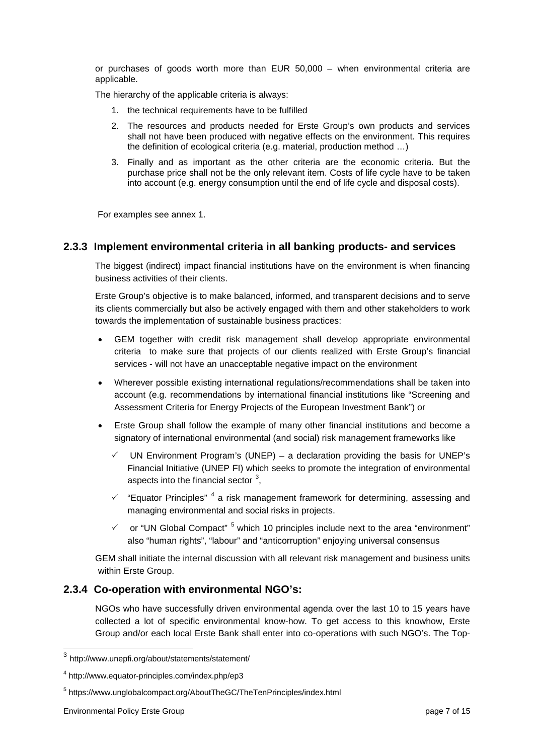or purchases of goods worth more than EUR 50,000 – when environmental criteria are applicable.

The hierarchy of the applicable criteria is always:

- 1. the technical requirements have to be fulfilled
- 2. The resources and products needed for Erste Group's own products and services shall not have been produced with negative effects on the environment. This requires the definition of ecological criteria (e.g. material, production method …)
- 3. Finally and as important as the other criteria are the economic criteria. But the purchase price shall not be the only relevant item. Costs of life cycle have to be taken into account (e.g. energy consumption until the end of life cycle and disposal costs).

For examples see annex 1.

#### <span id="page-7-0"></span>**2.3.3 Implement environmental criteria in all banking products- and services**

The biggest (indirect) impact financial institutions have on the environment is when financing business activities of their clients.

Erste Group's objective is to make balanced, informed, and transparent decisions and to serve its clients commercially but also be actively engaged with them and other stakeholders to work towards the implementation of sustainable business practices:

- GEM together with credit risk management shall develop appropriate environmental criteria to make sure that projects of our clients realized with Erste Group's financial services - will not have an unacceptable negative impact on the environment
- Wherever possible existing international regulations/recommendations shall be taken into account (e.g. recommendations by international financial institutions like "Screening and Assessment Criteria for Energy Projects of the European Investment Bank") or
- Erste Group shall follow the example of many other financial institutions and become a signatory of international environmental (and social) risk management frameworks like
	- $\checkmark$  UN Environment Program's (UNEP) a declaration providing the basis for UNEP's Financial Initiative (UNEP FI) which seeks to promote the integration of environmental aspects into the financial sector  $3$ ,
	- $\checkmark$  "Equator Principles"<sup>[4](#page-7-3)</sup> a risk management framework for determining, assessing and managing environmental and social risks in projects.
	- $\checkmark$  or "UN Global Compact"<sup>[5](#page-7-4)</sup> which 10 principles include next to the area "environment" also "human rights", "labour" and "anticorruption" enjoying universal consensus

GEM shall initiate the internal discussion with all relevant risk management and business units within Erste Group.

#### <span id="page-7-1"></span>**2.3.4 Co-operation with environmental NGO's:**

NGOs who have successfully driven environmental agenda over the last 10 to 15 years have collected a lot of specific environmental know-how. To get access to this knowhow, Erste Group and/or each local Erste Bank shall enter into co-operations with such NGO's. The Top-

<span id="page-7-2"></span> <sup>3</sup> http://www.unepfi.org/about/statements/statement/

<span id="page-7-3"></span><sup>4</sup> http://www.equator-principles.com/index.php/ep3

<span id="page-7-4"></span><sup>5</sup> https://www.unglobalcompact.org/AboutTheGC/TheTenPrinciples/index.html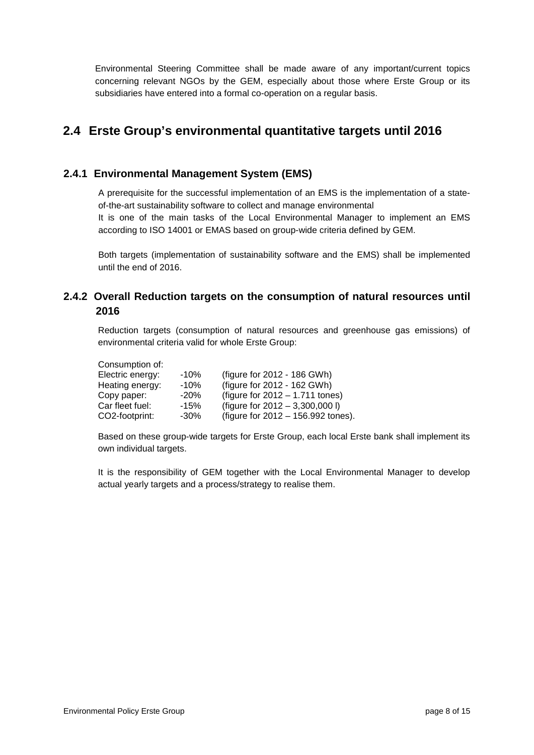Environmental Steering Committee shall be made aware of any important/current topics concerning relevant NGOs by the GEM, especially about those where Erste Group or its subsidiaries have entered into a formal co-operation on a regular basis.

## <span id="page-8-0"></span>**2.4 Erste Group's environmental quantitative targets until 2016**

#### <span id="page-8-1"></span>**2.4.1 Environmental Management System (EMS)**

A prerequisite for the successful implementation of an EMS is the implementation of a stateof-the-art sustainability software to collect and manage environmental

It is one of the main tasks of the Local Environmental Manager to implement an EMS according to ISO 14001 or EMAS based on group-wide criteria defined by GEM.

Both targets (implementation of sustainability software and the EMS) shall be implemented until the end of 2016.

#### <span id="page-8-2"></span>**2.4.2 Overall Reduction targets on the consumption of natural resources until 2016**

Reduction targets (consumption of natural resources and greenhouse gas emissions) of environmental criteria valid for whole Erste Group:

Consumption of:

| Electric energy: | $-10\%$ | (figure for 2012 - 186 GWh)        |
|------------------|---------|------------------------------------|
| Heating energy:  | $-10%$  | (figure for 2012 - 162 GWh)        |
| Copy paper:      | $-20\%$ | (figure for $2012 - 1.711$ tones)  |
| Car fleet fuel:  | $-15%$  | (figure for $2012 - 3,300,000$ I)  |
| CO2-footprint:   | $-30\%$ | (figure for 2012 - 156.992 tones). |

Based on these group-wide targets for Erste Group, each local Erste bank shall implement its own individual targets.

It is the responsibility of GEM together with the Local Environmental Manager to develop actual yearly targets and a process/strategy to realise them.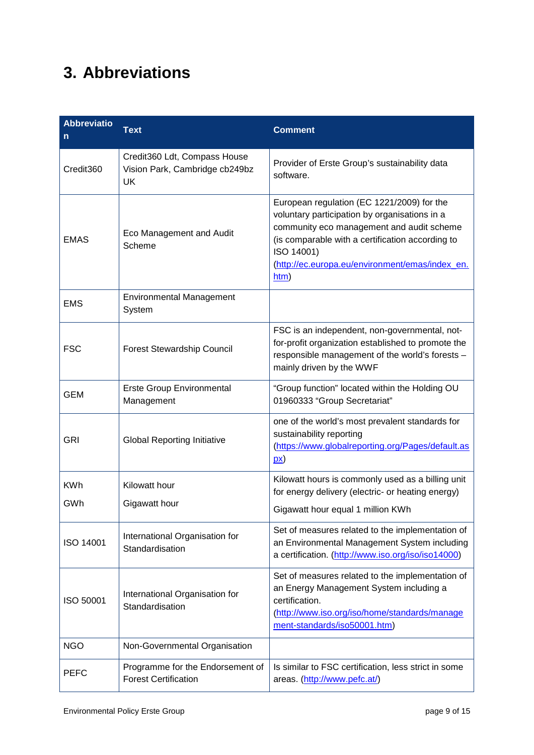# <span id="page-9-0"></span>**3. Abbreviations**

| <b>Abbreviatio</b><br>n | <b>Text</b>                                                                 | <b>Comment</b>                                                                                                                                                                                                                                                        |  |  |
|-------------------------|-----------------------------------------------------------------------------|-----------------------------------------------------------------------------------------------------------------------------------------------------------------------------------------------------------------------------------------------------------------------|--|--|
| Credit360               | Credit360 Ldt, Compass House<br>Vision Park, Cambridge cb249bz<br><b>UK</b> | Provider of Erste Group's sustainability data<br>software.                                                                                                                                                                                                            |  |  |
| <b>EMAS</b>             | Eco Management and Audit<br>Scheme                                          | European regulation (EC 1221/2009) for the<br>voluntary participation by organisations in a<br>community eco management and audit scheme<br>(is comparable with a certification according to<br>ISO 14001)<br>(http://ec.europa.eu/environment/emas/index en.<br>htm) |  |  |
| <b>EMS</b>              | <b>Environmental Management</b><br>System                                   |                                                                                                                                                                                                                                                                       |  |  |
| <b>FSC</b>              | <b>Forest Stewardship Council</b>                                           | FSC is an independent, non-governmental, not-<br>for-profit organization established to promote the<br>responsible management of the world's forests -<br>mainly driven by the WWF                                                                                    |  |  |
| <b>GEM</b>              | <b>Erste Group Environmental</b><br>Management                              | "Group function" located within the Holding OU<br>01960333 "Group Secretariat"                                                                                                                                                                                        |  |  |
| <b>GRI</b>              | <b>Global Reporting Initiative</b>                                          | one of the world's most prevalent standards for<br>sustainability reporting<br>(https://www.globalreporting.org/Pages/default.as<br>$\mathbf{p}(\mathbf{x})$                                                                                                          |  |  |
| <b>KWh</b><br>GWh       | Kilowatt hour<br>Gigawatt hour                                              | Kilowatt hours is commonly used as a billing unit<br>for energy delivery (electric- or heating energy)<br>Gigawatt hour equal 1 million KWh                                                                                                                           |  |  |
| ISO 14001               | International Organisation for<br>Standardisation                           | Set of measures related to the implementation of<br>an Environmental Management System including<br>a certification. (http://www.iso.org/iso/iso14000)                                                                                                                |  |  |
| ISO 50001               | International Organisation for<br>Standardisation                           | Set of measures related to the implementation of<br>an Energy Management System including a<br>certification.<br>(http://www.iso.org/iso/home/standards/manage<br>ment-standards/iso50001.htm)                                                                        |  |  |
| <b>NGO</b>              | Non-Governmental Organisation                                               |                                                                                                                                                                                                                                                                       |  |  |
| <b>PEFC</b>             | Programme for the Endorsement of<br><b>Forest Certification</b>             | Is similar to FSC certification, less strict in some<br>areas. (http://www.pefc.at/)                                                                                                                                                                                  |  |  |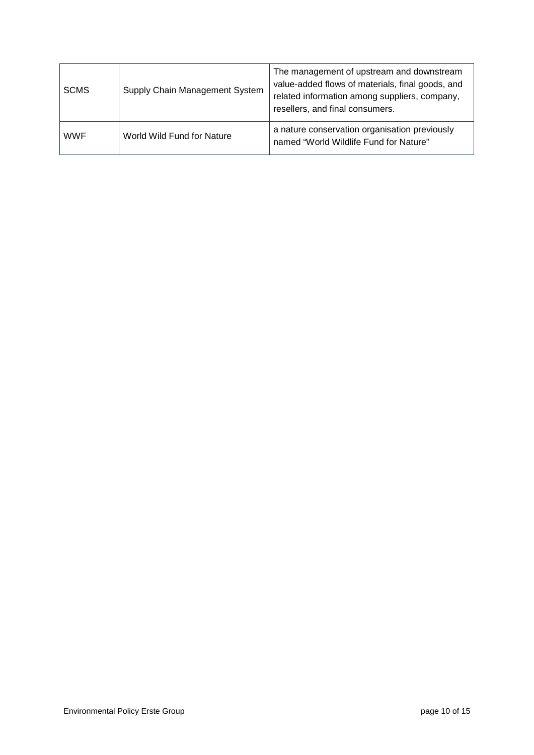| <b>SCMS</b> | Supply Chain Management System | The management of upstream and downstream<br>value-added flows of materials, final goods, and<br>related information among suppliers, company,<br>resellers, and final consumers. |  |  |
|-------------|--------------------------------|-----------------------------------------------------------------------------------------------------------------------------------------------------------------------------------|--|--|
| <b>WWF</b>  | World Wild Fund for Nature     | a nature conservation organisation previously<br>named "World Wildlife Fund for Nature"                                                                                           |  |  |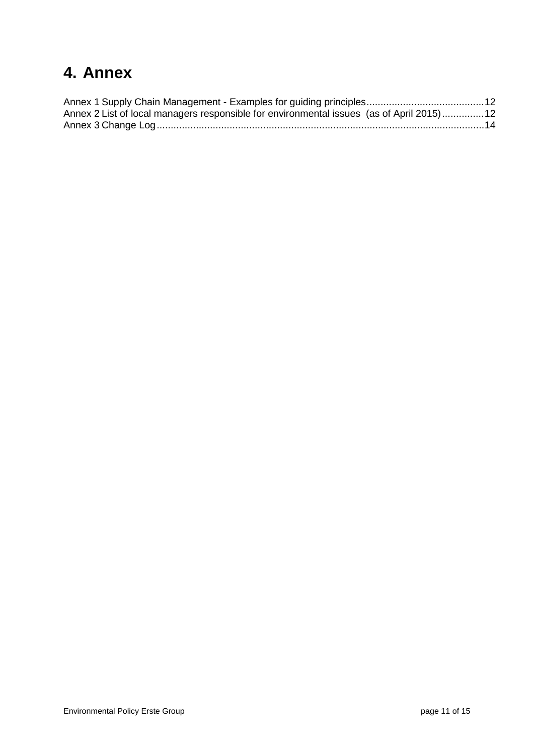# <span id="page-11-0"></span>**4. Annex**

| Annex 2 List of local managers responsible for environmental issues (as of April 2015)12 |  |
|------------------------------------------------------------------------------------------|--|
|                                                                                          |  |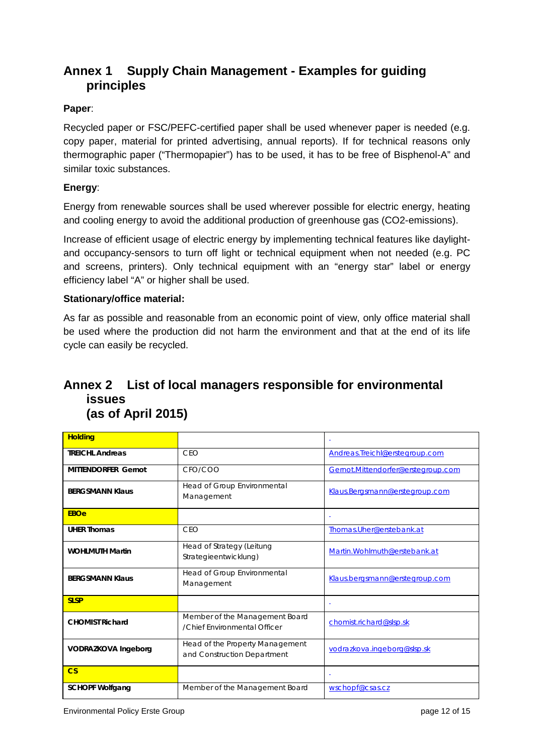### <span id="page-12-0"></span>**Annex 1 Supply Chain Management - Examples for guiding principles**

#### **Paper**:

Recycled paper or FSC/PEFC-certified paper shall be used whenever paper is needed (e.g. copy paper, material for printed advertising, annual reports). If for technical reasons only thermographic paper ("Thermopapier") has to be used, it has to be free of Bisphenol-A" and similar toxic substances.

#### **Energy**:

Energy from renewable sources shall be used wherever possible for electric energy, heating and cooling energy to avoid the additional production of greenhouse gas (CO2-emissions).

Increase of efficient usage of electric energy by implementing technical features like daylightand occupancy-sensors to turn off light or technical equipment when not needed (e.g. PC and screens, printers). Only technical equipment with an "energy star" label or energy efficiency label "A" or higher shall be used.

#### **Stationary/office material:**

As far as possible and reasonable from an economic point of view, only office material shall be used where the production did not harm the environment and that at the end of its life cycle can easily be recycled.

### <span id="page-12-1"></span>**Annex 2 List of local managers responsible for environmental issues (as of April 2015)**

| <b>Holding</b>             |                                                                |                                    |  |
|----------------------------|----------------------------------------------------------------|------------------------------------|--|
| <b>TREICHL Andreas</b>     | CEO                                                            | Andreas.Treichl@erstegroup.com     |  |
| <b>MITTENDORFER Gernot</b> | CFO/COO                                                        | Gernot.Mittendorfer@erstegroup.com |  |
| <b>BERGSMANN Klaus</b>     | Head of Group Environmental<br>Management                      | Klaus.Bergsmann@erstegroup.com     |  |
| <b>EBOe</b>                |                                                                |                                    |  |
| <b>UHER Thomas</b>         | CEO                                                            | Thomas.Uher@erstebank.at           |  |
| <b>WOHLMUTH Martin</b>     | Head of Strategy (Leitung<br>Strategieentwicklung)             | Martin. Wohlmuth@erstebank.at      |  |
| <b>BERGSMANN Klaus</b>     | Head of Group Environmental<br>Management                      | Klaus.bergsmann@erstegroup.com     |  |
| <b>SLSP</b>                |                                                                | $\blacksquare$                     |  |
| <b>CHOMIST Richard</b>     | Member of the Management Board<br>/Chief Environmental Officer | chomist.richard@slsp.sk            |  |
| <b>VODRAZKOVA Ingeborg</b> | Head of the Property Management<br>and Construction Department | vodrazkova.ingeborg@slsp.sk        |  |
| $\overline{\text{CS}}$     |                                                                | Ξ                                  |  |
| <b>SCHOPF Wolfgang</b>     | Member of the Management Board                                 | wschopf@csas.cz                    |  |